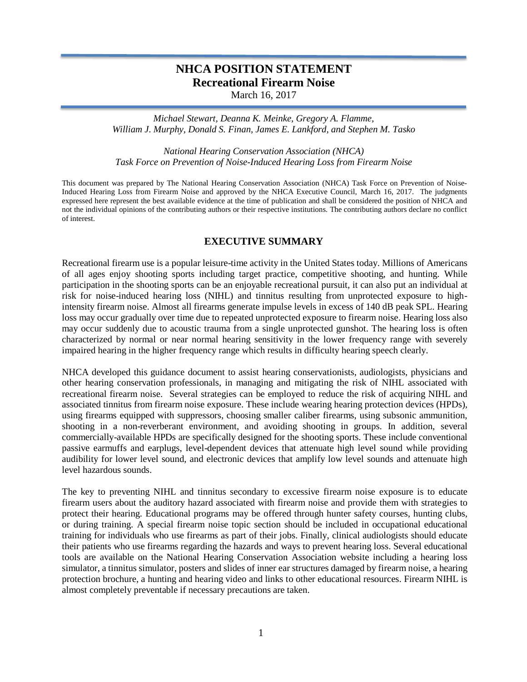# **NHCA POSITION STATEMENT Recreational Firearm Noise**

March 16, 2017

*Michael Stewart, Deanna K. Meinke, Gregory A. Flamme, William J. Murphy, Donald S. Finan, James E. Lankford, and Stephen M. Tasko*

*National Hearing Conservation Association (NHCA) Task Force on Prevention of Noise-Induced Hearing Loss from Firearm Noise*

This document was prepared by The National Hearing Conservation Association (NHCA) Task Force on Prevention of Noise-Induced Hearing Loss from Firearm Noise and approved by the NHCA Executive Council, March 16, 2017. The judgments expressed here represent the best available evidence at the time of publication and shall be considered the position of NHCA and not the individual opinions of the contributing authors or their respective institutions. The contributing authors declare no conflict of interest.

# **EXECUTIVE SUMMARY**

Recreational firearm use is a popular leisure-time activity in the United States today. Millions of Americans of all ages enjoy shooting sports including target practice, competitive shooting, and hunting. While participation in the shooting sports can be an enjoyable recreational pursuit, it can also put an individual at risk for noise-induced hearing loss (NIHL) and tinnitus resulting from unprotected exposure to highintensity firearm noise. Almost all firearms generate impulse levels in excess of 140 dB peak SPL. Hearing loss may occur gradually over time due to repeated unprotected exposure to firearm noise. Hearing loss also may occur suddenly due to acoustic trauma from a single unprotected gunshot. The hearing loss is often characterized by normal or near normal hearing sensitivity in the lower frequency range with severely impaired hearing in the higher frequency range which results in difficulty hearing speech clearly.

NHCA developed this guidance document to assist hearing conservationists, audiologists, physicians and other hearing conservation professionals, in managing and mitigating the risk of NIHL associated with recreational firearm noise. Several strategies can be employed to reduce the risk of acquiring NIHL and associated tinnitus from firearm noise exposure. These include wearing hearing protection devices (HPDs), using firearms equipped with suppressors, choosing smaller caliber firearms, using subsonic ammunition, shooting in a non-reverberant environment, and avoiding shooting in groups. In addition, several commercially-available HPDs are specifically designed for the shooting sports. These include conventional passive earmuffs and earplugs, level-dependent devices that attenuate high level sound while providing audibility for lower level sound, and electronic devices that amplify low level sounds and attenuate high level hazardous sounds.

The key to preventing NIHL and tinnitus secondary to excessive firearm noise exposure is to educate firearm users about the auditory hazard associated with firearm noise and provide them with strategies to protect their hearing. Educational programs may be offered through hunter safety courses, hunting clubs, or during training. A special firearm noise topic section should be included in occupational educational training for individuals who use firearms as part of their jobs. Finally, clinical audiologists should educate their patients who use firearms regarding the hazards and ways to prevent hearing loss. Several educational tools are available on the National Hearing Conservation Association website including a hearing loss simulator, a tinnitus simulator, posters and slides of inner ear structures damaged by firearm noise, a hearing protection brochure, a hunting and hearing video and links to other educational resources. Firearm NIHL is almost completely preventable if necessary precautions are taken.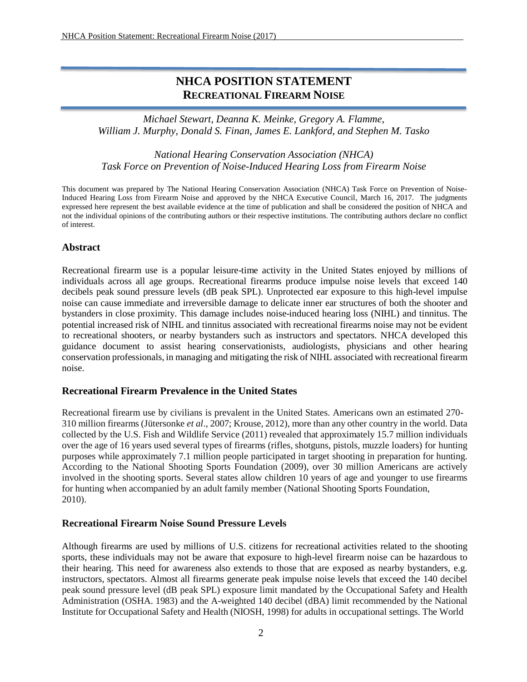# **NHCA POSITION STATEMENT RECREATIONAL FIREARM NOISE**

*Michael Stewart, Deanna K. Meinke, Gregory A. Flamme, William J. Murphy, Donald S. Finan, James E. Lankford, and Stephen M. Tasko*

*National Hearing Conservation Association (NHCA) Task Force on Prevention of Noise-Induced Hearing Loss from Firearm Noise*

This document was prepared by The National Hearing Conservation Association (NHCA) Task Force on Prevention of Noise-Induced Hearing Loss from Firearm Noise and approved by the NHCA Executive Council, March 16, 2017. The judgments expressed here represent the best available evidence at the time of publication and shall be considered the position of NHCA and not the individual opinions of the contributing authors or their respective institutions. The contributing authors declare no conflict of interest.

## **Abstract**

Recreational firearm use is a popular leisure-time activity in the United States enjoyed by millions of individuals across all age groups. Recreational firearms produce impulse noise levels that exceed 140 decibels peak sound pressure levels (dB peak SPL). Unprotected ear exposure to this high-level impulse noise can cause immediate and irreversible damage to delicate inner ear structures of both the shooter and bystanders in close proximity. This damage includes noise-induced hearing loss (NIHL) and tinnitus. The potential increased risk of NIHL and tinnitus associated with recreational firearms noise may not be evident to recreational shooters, or nearby bystanders such as instructors and spectators. NHCA developed this guidance document to assist hearing conservationists, audiologists, physicians and other hearing conservation professionals, in managing and mitigating the risk of NIHL associated with recreational firearm noise.

#### **Recreational Firearm Prevalence in the United States**

Recreational firearm use by civilians is prevalent in the United States. Americans own an estimated 270- 310 million firearms (Jütersonke *et al*., 2007; Krouse, 2012), more than any other country in the world. Data collected by the U.S. Fish and Wildlife Service (2011) revealed that approximately 15.7 million individuals over the age of 16 years used several types of firearms (rifles, shotguns, pistols, muzzle loaders) for hunting purposes while approximately 7.1 million people participated in target shooting in preparation for hunting. According to the National Shooting Sports Foundation (2009), over 30 million Americans are actively involved in the shooting sports. Several states allow children 10 years of age and younger to use firearms for hunting when accompanied by an adult family member (National Shooting Sports Foundation, 2010).

#### **Recreational Firearm Noise Sound Pressure Levels**

Although firearms are used by millions of U.S. citizens for recreational activities related to the shooting sports, these individuals may not be aware that exposure to high-level firearm noise can be hazardous to their hearing. This need for awareness also extends to those that are exposed as nearby bystanders, e.g. instructors, spectators. Almost all firearms generate peak impulse noise levels that exceed the 140 decibel peak sound pressure level (dB peak SPL) exposure limit mandated by the Occupational Safety and Health Administration (OSHA. 1983) and the A-weighted 140 decibel (dBA) limit recommended by the National Institute for Occupational Safety and Health (NIOSH, 1998) for adults in occupational settings. The World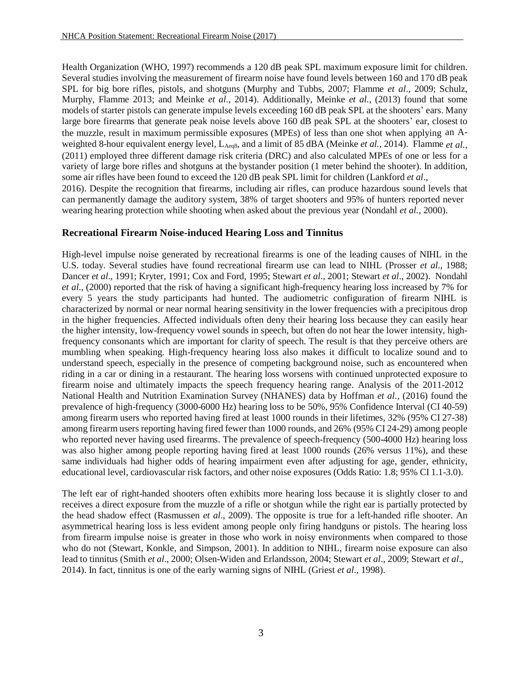Health Organization (WHO, 1997) recommends a 120 dB peak SPL maximum exposure limit for children. Several studies involving the measurement of firearm noise have found levels between 160 and 170 dB peak SPL for big bore rifles, pistols, and shotguns (Murphy and Tubbs, 2007; Flamme *et al*., 2009; Schulz, Murphy, Flamme 2013; and Meinke *et al.*, 2014). Additionally, Meinke *et al.,* (2013) found that some models of starter pistols can generate impulse levels exceeding 160 dB peak SPL at the shooters' ears. Many large bore firearms that generate peak noise levels above 160 dB peak SPL at the shooters' ear, closest to the muzzle, result in maximum permissible exposures (MPEs) of less than one shot when applying an Aweighted 8-hour equivalent energy level, LAeq8, and a limit of 85 dBA (Meinke *et al.,* 2014). Flamme *et al.,* (2011) employed three different damage risk criteria (DRC) and also calculated MPEs of one or less for a variety of large bore rifles and shotguns at the bystander position (1 meter behind the shooter). In addition, some air rifles have been found to exceed the 120 dB peak SPL limit for children (Lankford *et al*., 2016). Despite the recognition that firearms, including air rifles, can produce hazardous sound levels that can permanently damage the auditory system, 38% of target shooters and 95% of hunters reported never wearing hearing protection while shooting when asked about the previous year (Nondahl *et al.*, 2000).

## **Recreational Firearm Noise-induced Hearing Loss and Tinnitus**

High-level impulse noise generated by recreational firearms is one of the leading causes of NIHL in the U.S. today. Several studies have found recreational firearm use can lead to NIHL (Prosser *et al*., 1988; Dancer *et al*., 1991; Kryter, 1991; Cox and Ford, 1995; Stewart *et al*., 2001; Stewart *et al*., 2002). Nondahl *et al*., (2000) reported that the risk of having a significant high-frequency hearing loss increased by 7% for every 5 years the study participants had hunted. The audiometric configuration of firearm NIHL is characterized by normal or near normal hearing sensitivity in the lower frequencies with a precipitous drop in the higher frequencies. Affected individuals often deny their hearing loss because they can easily hear the higher intensity, low-frequency vowel sounds in speech, but often do not hear the lower intensity, highfrequency consonants which are important for clarity of speech. The result is that they perceive others are mumbling when speaking. High-frequency hearing loss also makes it difficult to localize sound and to understand speech, especially in the presence of competing background noise, such as encountered when riding in a car or dining in a restaurant. The hearing loss worsens with continued unprotected exposure to firearm noise and ultimately impacts the speech frequency hearing range. Analysis of the 2011-2012 National Health and Nutrition Examination Survey (NHANES) data by Hoffman *et al.,* (2016) found the prevalence of high-frequency (3000-6000 Hz) hearing loss to be 50%, 95% Confidence Interval (CI 40-59) among firearm users who reported having fired at least 1000 rounds in their lifetimes, 32% (95% CI 27-38) among firearm users reporting having fired fewer than 1000 rounds, and 26% (95% CI 24-29) among people who reported never having used firearms. The prevalence of speech-frequency (500-4000 Hz) hearing loss was also higher among people reporting having fired at least 1000 rounds (26% versus 11%), and these same individuals had higher odds of hearing impairment even after adjusting for age, gender, ethnicity, educational level, cardiovascular risk factors, and other noise exposures (Odds Ratio: 1.8; 95% CI 1.1-3.0).

The left ear of right-handed shooters often exhibits more hearing loss because it is slightly closer to and receives a direct exposure from the muzzle of a rifle or shotgun while the right ear is partially protected by the head shadow effect (Rasmussen *et al*., 2009). The opposite is true for a left-handed rifle shooter. An asymmetrical hearing loss is less evident among people only firing handguns or pistols. The hearing loss from firearm impulse noise is greater in those who work in noisy environments when compared to those who do not (Stewart, Konkle, and Simpson, 2001). In addition to NIHL, firearm noise exposure can also lead to tinnitus (Smith *et al*., 2000; Olsen-Widen and Erlandsson, 2004; Stewart *et al*., 2009; Stewart *et al*., 2014). In fact, tinnitus is one of the early warning signs of NIHL (Griest *et al*., 1998).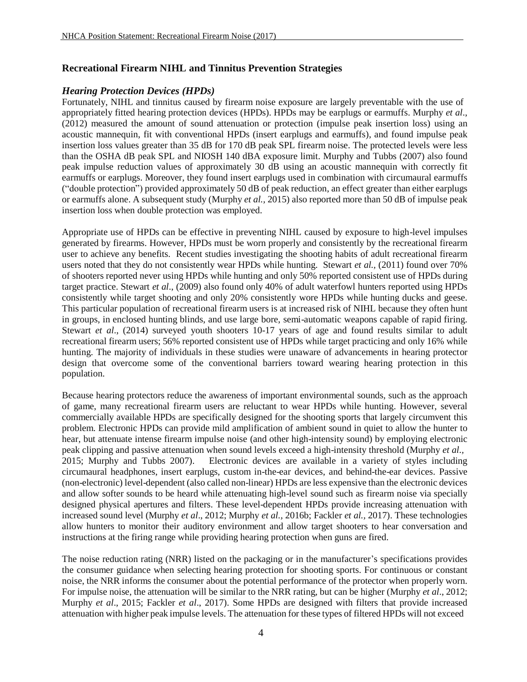## **Recreational Firearm NIHL and Tinnitus Prevention Strategies**

## *Hearing Protection Devices (HPDs)*

Fortunately, NIHL and tinnitus caused by firearm noise exposure are largely preventable with the use of appropriately fitted hearing protection devices (HPDs). HPDs may be earplugs or earmuffs. Murphy *et al*., (2012) measured the amount of sound attenuation or protection (impulse peak insertion loss) using an acoustic mannequin, fit with conventional HPDs (insert earplugs and earmuffs), and found impulse peak insertion loss values greater than 35 dB for 170 dB peak SPL firearm noise. The protected levels were less than the OSHA dB peak SPL and NIOSH 140 dBA exposure limit. Murphy and Tubbs (2007) also found peak impulse reduction values of approximately 30 dB using an acoustic mannequin with correctly fit earmuffs or earplugs. Moreover, they found insert earplugs used in combination with circumaural earmuffs ("double protection") provided approximately 50 dB of peak reduction, an effect greater than either earplugs or earmuffs alone. A subsequent study (Murphy *et al.,* 2015) also reported more than 50 dB of impulse peak insertion loss when double protection was employed.

Appropriate use of HPDs can be effective in preventing NIHL caused by exposure to high-level impulses generated by firearms. However, HPDs must be worn properly and consistently by the recreational firearm user to achieve any benefits. Recent studies investigating the shooting habits of adult recreational firearm users noted that they do not consistently wear HPDs while hunting. Stewart *et al.,* (2011) found over 70% of shooters reported never using HPDs while hunting and only 50% reported consistent use of HPDs during target practice. Stewart *et al*., (2009) also found only 40% of adult waterfowl hunters reported using HPDs consistently while target shooting and only 20% consistently wore HPDs while hunting ducks and geese. This particular population of recreational firearm users is at increased risk of NIHL because they often hunt in groups, in enclosed hunting blinds, and use large bore, semi-automatic weapons capable of rapid firing. Stewart *et al*., (2014) surveyed youth shooters 10-17 years of age and found results similar to adult recreational firearm users; 56% reported consistent use of HPDs while target practicing and only 16% while hunting. The majority of individuals in these studies were unaware of advancements in hearing protector design that overcome some of the conventional barriers toward wearing hearing protection in this population.

Because hearing protectors reduce the awareness of important environmental sounds, such as the approach of game, many recreational firearm users are reluctant to wear HPDs while hunting. However, several commercially available HPDs are specifically designed for the shooting sports that largely circumvent this problem. Electronic HPDs can provide mild amplification of ambient sound in quiet to allow the hunter to hear, but attenuate intense firearm impulse noise (and other high-intensity sound) by employing electronic peak clipping and passive attenuation when sound levels exceed a high-intensity threshold (Murphy *et al.,* 2015; Murphy and Tubbs 2007). Electronic devices are available in a variety of styles including circumaural headphones, insert earplugs, custom in-the-ear devices, and behind-the-ear devices. Passive (non-electronic) level-dependent (also called non-linear) HPDs are less expensive than the electronic devices and allow softer sounds to be heard while attenuating high-level sound such as firearm noise via specially designed physical apertures and filters. These level-dependent HPDs provide increasing attenuation with increased sound level (Murphy *et al*., 2012; Murphy *et al.,* 2016b; Fackler *et al.,* 2017). These technologies allow hunters to monitor their auditory environment and allow target shooters to hear conversation and instructions at the firing range while providing hearing protection when guns are fired.

The noise reduction rating (NRR) listed on the packaging or in the manufacturer's specifications provides the consumer guidance when selecting hearing protection for shooting sports. For continuous or constant noise, the NRR informs the consumer about the potential performance of the protector when properly worn. For impulse noise, the attenuation will be similar to the NRR rating, but can be higher (Murphy *et al*., 2012; Murphy *et al*., 2015; Fackler *et al*., 2017). Some HPDs are designed with filters that provide increased attenuation with higher peak impulse levels. The attenuation for these types of filtered HPDs will not exceed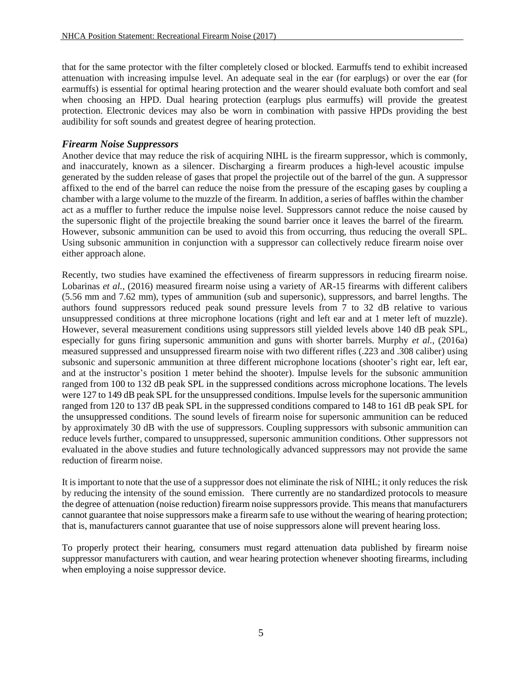that for the same protector with the filter completely closed or blocked. Earmuffs tend to exhibit increased attenuation with increasing impulse level. An adequate seal in the ear (for earplugs) or over the ear (for earmuffs) is essential for optimal hearing protection and the wearer should evaluate both comfort and seal when choosing an HPD. Dual hearing protection (earplugs plus earmuffs) will provide the greatest protection. Electronic devices may also be worn in combination with passive HPDs providing the best audibility for soft sounds and greatest degree of hearing protection.

#### *Firearm Noise Suppressors*

Another device that may reduce the risk of acquiring NIHL is the firearm suppressor, which is commonly, and inaccurately, known as a silencer. Discharging a firearm produces a high-level acoustic impulse generated by the sudden release of gases that propel the projectile out of the barrel of the gun. A suppressor affixed to the end of the barrel can reduce the noise from the pressure of the escaping gases by coupling a chamber with a large volume to the muzzle of the firearm. In addition, a series of baffles within the chamber act as a muffler to further reduce the impulse noise level. Suppressors cannot reduce the noise caused by the supersonic flight of the projectile breaking the sound barrier once it leaves the barrel of the firearm. However, subsonic ammunition can be used to avoid this from occurring, thus reducing the overall SPL. Using subsonic ammunition in conjunction with a suppressor can collectively reduce firearm noise over either approach alone.

Recently, two studies have examined the effectiveness of firearm suppressors in reducing firearm noise. Lobarinas *et al.,* (2016) measured firearm noise using a variety of AR-15 firearms with different calibers (5.56 mm and 7.62 mm), types of ammunition (sub and supersonic), suppressors, and barrel lengths. The authors found suppressors reduced peak sound pressure levels from 7 to 32 dB relative to various unsuppressed conditions at three microphone locations (right and left ear and at 1 meter left of muzzle). However, several measurement conditions using suppressors still yielded levels above 140 dB peak SPL, especially for guns firing supersonic ammunition and guns with shorter barrels. Murphy *et al.,* (2016a) measured suppressed and unsuppressed firearm noise with two different rifles (.223 and .308 caliber) using subsonic and supersonic ammunition at three different microphone locations (shooter's right ear, left ear, and at the instructor's position 1 meter behind the shooter). Impulse levels for the subsonic ammunition ranged from 100 to 132 dB peak SPL in the suppressed conditions across microphone locations. The levels were 127 to 149 dB peak SPL for the unsuppressed conditions. Impulse levels for the supersonic ammunition ranged from 120 to 137 dB peak SPL in the suppressed conditions compared to 148 to 161 dB peak SPL for the unsuppressed conditions. The sound levels of firearm noise for supersonic ammunition can be reduced by approximately 30 dB with the use of suppressors. Coupling suppressors with subsonic ammunition can reduce levels further, compared to unsuppressed, supersonic ammunition conditions. Other suppressors not evaluated in the above studies and future technologically advanced suppressors may not provide the same reduction of firearm noise.

It is important to note that the use of a suppressor does not eliminate the risk of NIHL; it only reduces the risk by reducing the intensity of the sound emission. There currently are no standardized protocols to measure the degree of attenuation (noise reduction) firearm noise suppressors provide. This means that manufacturers cannot guarantee that noise suppressors make a firearm safe to use without the wearing of hearing protection; that is, manufacturers cannot guarantee that use of noise suppressors alone will prevent hearing loss.

To properly protect their hearing, consumers must regard attenuation data published by firearm noise suppressor manufacturers with caution, and wear hearing protection whenever shooting firearms, including when employing a noise suppressor device.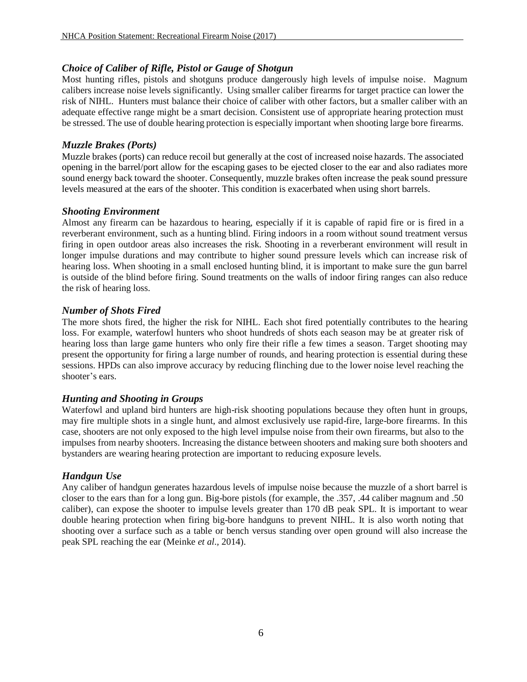## *Choice of Caliber of Rifle, Pistol or Gauge of Shotgun*

Most hunting rifles, pistols and shotguns produce dangerously high levels of impulse noise. Magnum calibers increase noise levels significantly. Using smaller caliber firearms for target practice can lower the risk of NIHL. Hunters must balance their choice of caliber with other factors, but a smaller caliber with an adequate effective range might be a smart decision. Consistent use of appropriate hearing protection must be stressed. The use of double hearing protection is especially important when shooting large bore firearms.

#### *Muzzle Brakes (Ports)*

Muzzle brakes (ports) can reduce recoil but generally at the cost of increased noise hazards. The associated opening in the barrel/port allow for the escaping gases to be ejected closer to the ear and also radiates more sound energy back toward the shooter. Consequently, muzzle brakes often increase the peak sound pressure levels measured at the ears of the shooter. This condition is exacerbated when using short barrels.

## *Shooting Environment*

Almost any firearm can be hazardous to hearing, especially if it is capable of rapid fire or is fired in a reverberant environment, such as a hunting blind. Firing indoors in a room without sound treatment versus firing in open outdoor areas also increases the risk. Shooting in a reverberant environment will result in longer impulse durations and may contribute to higher sound pressure levels which can increase risk of hearing loss. When shooting in a small enclosed hunting blind, it is important to make sure the gun barrel is outside of the blind before firing. Sound treatments on the walls of indoor firing ranges can also reduce the risk of hearing loss.

## *Number of Shots Fired*

The more shots fired, the higher the risk for NIHL. Each shot fired potentially contributes to the hearing loss. For example, waterfowl hunters who shoot hundreds of shots each season may be at greater risk of hearing loss than large game hunters who only fire their rifle a few times a season. Target shooting may present the opportunity for firing a large number of rounds, and hearing protection is essential during these sessions. HPDs can also improve accuracy by reducing flinching due to the lower noise level reaching the shooter's ears.

## *Hunting and Shooting in Groups*

Waterfowl and upland bird hunters are high-risk shooting populations because they often hunt in groups, may fire multiple shots in a single hunt, and almost exclusively use rapid-fire, large-bore firearms. In this case, shooters are not only exposed to the high level impulse noise from their own firearms, but also to the impulses from nearby shooters. Increasing the distance between shooters and making sure both shooters and bystanders are wearing hearing protection are important to reducing exposure levels.

## *Handgun Use*

Any caliber of handgun generates hazardous levels of impulse noise because the muzzle of a short barrel is closer to the ears than for a long gun. Big-bore pistols (for example, the .357, .44 caliber magnum and .50 caliber), can expose the shooter to impulse levels greater than 170 dB peak SPL. It is important to wear double hearing protection when firing big-bore handguns to prevent NIHL. It is also worth noting that shooting over a surface such as a table or bench versus standing over open ground will also increase the peak SPL reaching the ear (Meinke *et al*.*,* 2014).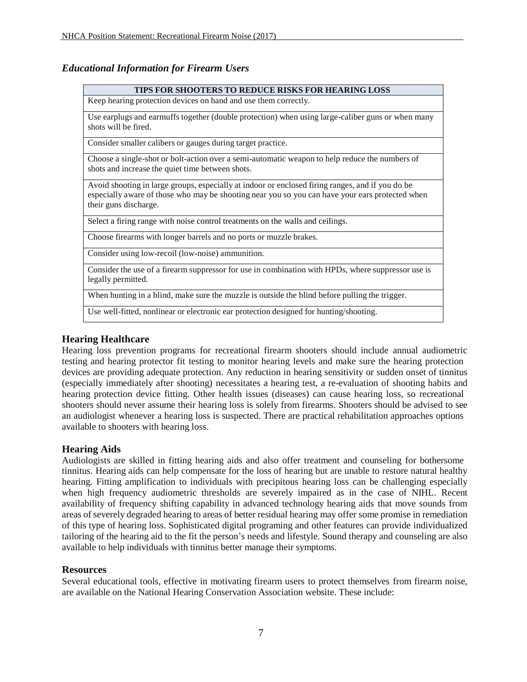# *Educational Information for Firearm Users*

| <b>TIPS FOR SHOOTERS TO REDUCE RISKS FOR HEARING LOSS</b>                                                                                                                                                                    |
|------------------------------------------------------------------------------------------------------------------------------------------------------------------------------------------------------------------------------|
| Keep hearing protection devices on hand and use them correctly.                                                                                                                                                              |
| Use earplugs and earmuffs together (double protection) when using large-caliber guns or when many<br>shots will be fired.                                                                                                    |
| Consider smaller calibers or gauges during target practice.                                                                                                                                                                  |
| Choose a single-shot or bolt-action over a semi-automatic weapon to help reduce the numbers of<br>shots and increase the quiet time between shots.                                                                           |
| Avoid shooting in large groups, especially at indoor or enclosed firing ranges, and if you do be<br>especially aware of those who may be shooting near you so you can have your ears protected when<br>their guns discharge. |
| Select a firing range with noise control treatments on the walls and ceilings.                                                                                                                                               |
| Choose firearms with longer barrels and no ports or muzzle brakes.                                                                                                                                                           |
| Consider using low-recoil (low-noise) ammunition.                                                                                                                                                                            |
| Consider the use of a firearm suppressor for use in combination with HPDs, where suppressor use is<br>legally permitted.                                                                                                     |
| When hunting in a blind, make sure the muzzle is outside the blind before pulling the trigger.                                                                                                                               |
| Use well-fitted, nonlinear or electronic ear protection designed for hunting/shooting.                                                                                                                                       |

## **Hearing Healthcare**

Hearing loss prevention programs for recreational firearm shooters should include annual audiometric testing and hearing protector fit testing to monitor hearing levels and make sure the hearing protection devices are providing adequate protection. Any reduction in hearing sensitivity or sudden onset of tinnitus (especially immediately after shooting) necessitates a hearing test, a re-evaluation of shooting habits and hearing protection device fitting. Other health issues (diseases) can cause hearing loss, so recreational shooters should never assume their hearing loss is solely from firearms. Shooters should be advised to see an audiologist whenever a hearing loss is suspected. There are practical rehabilitation approaches options available to shooters with hearing loss.

#### **Hearing Aids**

Audiologists are skilled in fitting hearing aids and also offer treatment and counseling for bothersome tinnitus. Hearing aids can help compensate for the loss of hearing but are unable to restore natural healthy hearing. Fitting amplification to individuals with precipitous hearing loss can be challenging especially when high frequency audiometric thresholds are severely impaired as in the case of NIHL. Recent availability of frequency shifting capability in advanced technology hearing aids that move sounds from areas of severely degraded hearing to areas of better residual hearing may offer some promise in remediation of this type of hearing loss. Sophisticated digital programing and other features can provide individualized tailoring of the hearing aid to the fit the person's needs and lifestyle. Sound therapy and counseling are also available to help individuals with tinnitus better manage their symptoms.

#### **Resources**

Several educational tools, effective in motivating firearm users to protect themselves from firearm noise, are available on the National Hearing Conservation Association website. These include: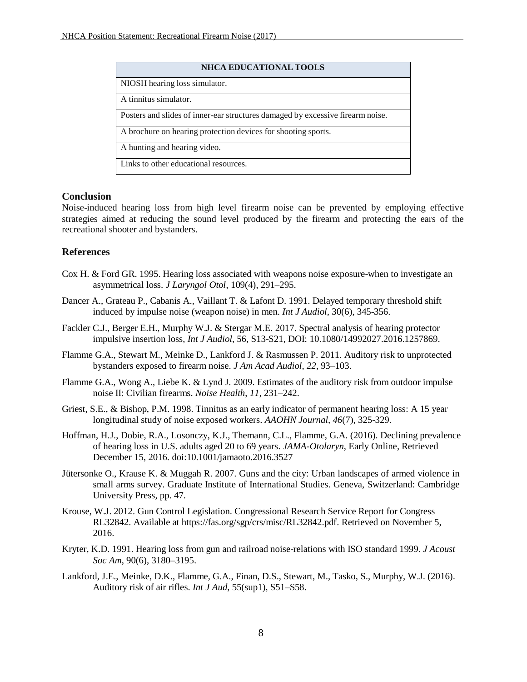| <b>NHCA EDUCATIONAL TOOLS</b>                                                  |
|--------------------------------------------------------------------------------|
| NIOSH hearing loss simulator.                                                  |
| A tinnitus simulator.                                                          |
| Posters and slides of inner-ear structures damaged by excessive firearm noise. |
| A brochure on hearing protection devices for shooting sports.                  |
| A hunting and hearing video.                                                   |
| Links to other educational resources.                                          |

## **Conclusion**

Noise-induced hearing loss from high level firearm noise can be prevented by employing effective strategies aimed at reducing the sound level produced by the firearm and protecting the ears of the recreational shooter and bystanders.

## **References**

- Cox H. & Ford GR. 1995. Hearing loss associated with weapons noise exposure-when to investigate an asymmetrical loss. *J Laryngol Otol*, 109(4), 291–295.
- Dancer A., Grateau P., Cabanis A., Vaillant T. & Lafont D. 1991. Delayed temporary threshold shift induced by impulse noise (weapon noise) in men. *Int J Audiol*, 30(6), 345-356.
- Fackler C.J., Berger E.H., Murphy W.J. & Stergar M.E. 2017. Spectral analysis of hearing protector impulsive insertion loss, *Int J Audiol*, 56, S13-S21, DOI: 10.1080/14992027.2016.1257869.
- Flamme G.A., Stewart M., Meinke D., Lankford J. & Rasmussen P. 2011. Auditory risk to unprotected bystanders exposed to firearm noise. *J Am Acad Audiol*, *22*, 93–103.
- Flamme G.A., Wong A., Liebe K. & Lynd J. 2009. Estimates of the auditory risk from outdoor impulse noise II: Civilian firearms. *Noise Health*, *11*, 231–242.
- Griest, S.E., & Bishop, P.M. 1998. Tinnitus as an early indicator of permanent hearing loss: A 15 year longitudinal study of noise exposed workers. *AAOHN Journal, 46*(7), 325-329.
- Hoffman, H.J., Dobie, R.A., Losonczy, K.J., Themann, C.L., Flamme, G.A. (2016). Declining prevalence of hearing loss in U.S. adults aged 20 to 69 years. *JAMA-Otolaryn*, Early Online, Retrieved December 15, 2016. doi:10.1001/jamaoto.2016.3527
- Jütersonke O., Krause K. & Muggah R. 2007. Guns and the city: Urban landscapes of armed violence in small arms survey. Graduate Institute of International Studies. Geneva, Switzerland: Cambridge University Press, pp. 47.
- Krouse, W.J. 2012. Gun Control Legislation. Congressional Research Service Report for Congress RL32842. Available [at https://fas.org/sgp/crs/misc/RL32842.pdf.](https://fas.org/sgp/crs/misc/RL32842.pdf) Retrieved on November 5, 2016.
- Kryter, K.D. 1991. Hearing loss from gun and railroad noise-relations with ISO standard 1999. *J Acoust Soc Am*, 90(6), 3180–3195.
- Lankford, J.E., Meinke, D.K., Flamme, G.A., Finan, D.S., Stewart, M., Tasko, S., Murphy, W.J. (2016). Auditory risk of air rifles. *Int J Aud*, 55(sup1), S51–S58.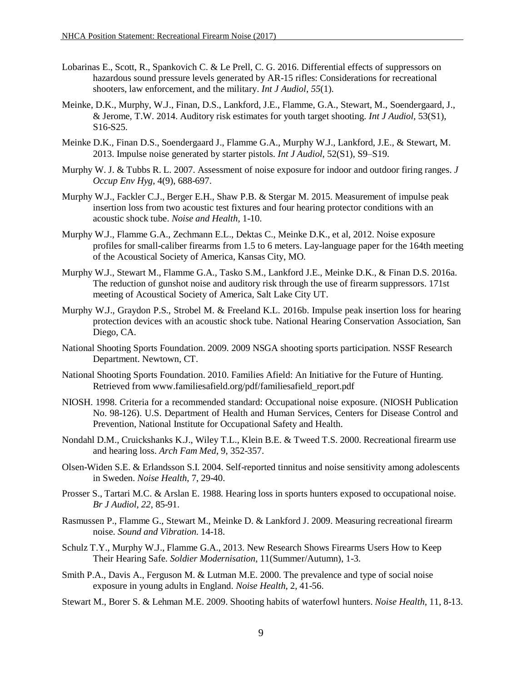- Lobarinas E., Scott, R., Spankovich C. & Le Prell, C. G. 2016. [Differential](http://www.tandfonline.com/doi/abs/10.3109/14992027.2015.1122241) effects of suppressors o[n](http://www.tandfonline.com/doi/abs/10.3109/14992027.2015.1122241) hazardous sound pressure levels generated by AR-15 rifles: [Considerations for](http://www.tandfonline.com/doi/abs/10.3109/14992027.2015.1122241) recreationa[l](http://www.tandfonline.com/doi/abs/10.3109/14992027.2015.1122241) shooters, law [enforcement, and the military.](http://www.tandfonline.com/doi/abs/10.3109/14992027.2015.1122241) *Int J Audiol*, *55*(1).
- Meinke, D.K., Murphy, W.J., Finan, D.S., Lankford, J.E., Flamme, G.A., Stewart, M., Soendergaard, J., & Jerome, T.W. 2014. Auditory risk estimates for youth target shooting. *Int J Audiol*, 53(S1), S16-S25.
- Meinke D.K., Finan D.S., Soendergaard J., Flamme G.A., Murphy W.J., Lankford, J.E., & Stewart, M. 2013. Impulse noise generated by starter pistols. *Int J Audiol*, 52(S1), S9–S19.
- Murphy W. J. & Tubbs R. L. 2007. Assessment of noise exposure for indoor and outdoor firing ranges. *J Occup Env Hyg*, 4(9), 688-697.
- Murphy W.J., Fackler C.J., Berger E.H., Shaw P.B. & Stergar M. 2015. Measurement of impulse peak insertion loss from two acoustic test fixtures and four hearing protector conditions with an acoustic shock tube. *Noise and Health*, 1-10.
- Murphy W.J., Flamme G.A., Zechmann E.L., Dektas C., Meinke D.K., et al, 2012. Noise exposure profiles for small-caliber firearms from 1.5 to 6 meters. Lay-language paper for the 164th meeting of the Acoustical Society of America, Kansas City, MO.
- Murphy W.J., Stewart M., Flamme G.A., Tasko S.M., Lankford J.E., Meinke D.K., & Finan D.S. 2016a. The reduction of gunshot noise and auditory risk through the use of firearm suppressors. 171st meeting of Acoustical Society of America, Salt Lake City UT.
- Murphy W.J., Graydon P.S., Strobel M. & Freeland K.L. 2016b. Impulse peak insertion loss for hearing protection devices with an acoustic shock tube. National Hearing Conservation Association, San Diego, CA.
- National Shooting Sports Foundation. 2009. 2009 NSGA shooting sports participation. NSSF Research Department. Newtown, CT.
- National Shooting Sports Foundation. 2010. Families Afield: An Initiative for the Future of Hunting. Retrieved from [www.familiesafield.org/pdf/familiesafield\\_report.pdf](http://www.familiesafield.org/pdf/familiesafield_report.pdf)
- NIOSH. 1998. Criteria for a recommended standard: Occupational noise exposure. (NIOSH Publication No. 98-126). U.S. Department of Health and Human Services, Centers for Disease Control and Prevention, National Institute for Occupational Safety and Health.
- Nondahl D.M., Cruickshanks K.J., Wiley T.L., Klein B.E. & Tweed T.S. 2000. Recreational firearm use and hearing loss. *Arch Fam Med*, 9, 352-357.
- Olsen-Widen S.E. & Erlandsson S.I. 2004. Self-reported tinnitus and noise sensitivity among adolescents in Sweden. *Noise Health*, 7, 29-40.
- Prosser S., Tartari M.C. & Arslan E. 1988. Hearing loss in sports hunters exposed to occupational noise. *Br J Audiol*, *22,* 85-91.
- Rasmussen P., Flamme G., Stewart M., Meinke D. & Lankford J. 2009. Measuring recreational firearm noise. *Sound and Vibration*. 14-18.
- Schulz T.Y., Murphy W.J., Flamme G.A., 2013. New Research Shows Firearms Users How to Keep Their Hearing Safe. *Soldier Modernisation*, 11(Summer/Autumn), 1-3.
- Smith P.A., Davis A., Ferguson M. & Lutman M.E. 2000. The prevalence and type of social noise exposure in young adults in England. *Noise Health*, 2, 41-56.
- Stewart M., Borer S. & Lehman M.E. 2009. Shooting habits of waterfowl hunters. *Noise Health*, 11, 8-13.